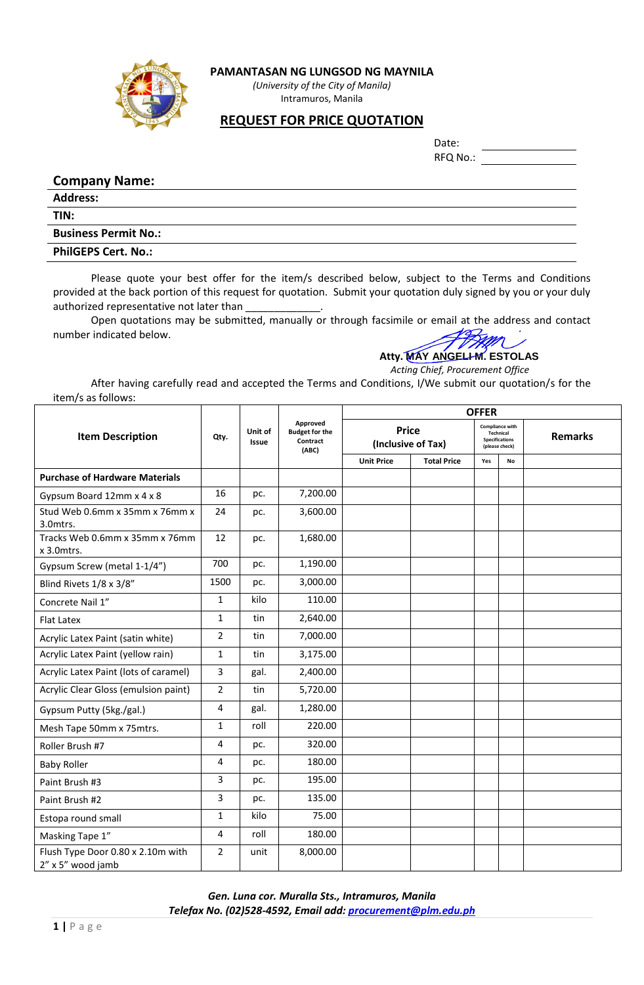

**PAMANTASAN NG LUNGSOD NG MAYNILA**

*(University of the City of Manila)* Intramuros, Manila

## **REQUEST FOR PRICE QUOTATION**

| Date:    |  |
|----------|--|
| RFQ No.: |  |

## **Company Name:**

**Address: TIN: Business Permit No.:**

**PhilGEPS Cert. No.:** 

Please quote your best offer for the item/s described below, subject to the Terms and Conditions provided at the back portion of this request for quotation. Submit your quotation duly signed by you or your duly authorized representative not later than

Open quotations may be submitted, manually or through facsimile or email at the address and contact number indicated below.

## **Atty. MAY ANGELI M. ESTOLAS**

 *Acting Chief, Procurement Office*

After having carefully read and accepted the Terms and Conditions, I/We submit our quotation/s for the item/s as follows:

|                                                        |                |                         |                                                        |                   |                                    | <b>OFFER</b> |                                                                                       |                |
|--------------------------------------------------------|----------------|-------------------------|--------------------------------------------------------|-------------------|------------------------------------|--------------|---------------------------------------------------------------------------------------|----------------|
| <b>Item Description</b>                                | Qty.           | Unit of<br><b>Issue</b> | Approved<br><b>Budget for the</b><br>Contract<br>(ABC) |                   | <b>Price</b><br>(Inclusive of Tax) |              | <b>Compliance with</b><br><b>Technical</b><br><b>Specifications</b><br>(please check) | <b>Remarks</b> |
|                                                        |                |                         |                                                        | <b>Unit Price</b> | <b>Total Price</b>                 | Yes          | No                                                                                    |                |
| <b>Purchase of Hardware Materials</b>                  |                |                         |                                                        |                   |                                    |              |                                                                                       |                |
| Gypsum Board 12mm x 4 x 8                              | 16             | pc.                     | 7,200.00                                               |                   |                                    |              |                                                                                       |                |
| Stud Web 0.6mm x 35mm x 76mm x<br>3.0mtrs.             | 24             | pc.                     | 3,600.00                                               |                   |                                    |              |                                                                                       |                |
| Tracks Web 0.6mm x 35mm x 76mm<br>$x$ 3.0 $m$ trs.     | 12             | pc.                     | 1,680.00                                               |                   |                                    |              |                                                                                       |                |
| Gypsum Screw (metal 1-1/4")                            | 700            | pc.                     | 1,190.00                                               |                   |                                    |              |                                                                                       |                |
| Blind Rivets 1/8 x 3/8"                                | 1500           | pc.                     | 3,000.00                                               |                   |                                    |              |                                                                                       |                |
| Concrete Nail 1"                                       | $\mathbf{1}$   | kilo                    | 110.00                                                 |                   |                                    |              |                                                                                       |                |
| <b>Flat Latex</b>                                      | 1              | tin                     | 2,640.00                                               |                   |                                    |              |                                                                                       |                |
| Acrylic Latex Paint (satin white)                      | $\overline{2}$ | tin                     | 7,000.00                                               |                   |                                    |              |                                                                                       |                |
| Acrylic Latex Paint (yellow rain)                      | $\mathbf{1}$   | tin                     | 3,175.00                                               |                   |                                    |              |                                                                                       |                |
| Acrylic Latex Paint (lots of caramel)                  | 3              | gal.                    | 2,400.00                                               |                   |                                    |              |                                                                                       |                |
| Acrylic Clear Gloss (emulsion paint)                   | $\overline{2}$ | tin                     | 5,720.00                                               |                   |                                    |              |                                                                                       |                |
| Gypsum Putty (5kg./gal.)                               | $\overline{4}$ | gal.                    | 1,280.00                                               |                   |                                    |              |                                                                                       |                |
| Mesh Tape 50mm x 75mtrs.                               | $\mathbf{1}$   | roll                    | 220.00                                                 |                   |                                    |              |                                                                                       |                |
| Roller Brush #7                                        | 4              | pc.                     | 320.00                                                 |                   |                                    |              |                                                                                       |                |
| <b>Baby Roller</b>                                     | 4              | pc.                     | 180.00                                                 |                   |                                    |              |                                                                                       |                |
| Paint Brush #3                                         | 3              | pc.                     | 195.00                                                 |                   |                                    |              |                                                                                       |                |
| Paint Brush #2                                         | 3              | pc.                     | 135.00                                                 |                   |                                    |              |                                                                                       |                |
| Estopa round small                                     | $\mathbf{1}$   | kilo                    | 75.00                                                  |                   |                                    |              |                                                                                       |                |
| Masking Tape 1"                                        | $\overline{4}$ | roll                    | 180.00                                                 |                   |                                    |              |                                                                                       |                |
| Flush Type Door 0.80 x 2.10m with<br>2" x 5" wood jamb | $\overline{2}$ | unit                    | 8,000.00                                               |                   |                                    |              |                                                                                       |                |

*Gen. Luna cor. Muralla Sts., Intramuros, Manila Telefax No. (02)528-4592, Email add: [procurement@plm.edu.ph](mailto:procurement@plm.edu.ph)*